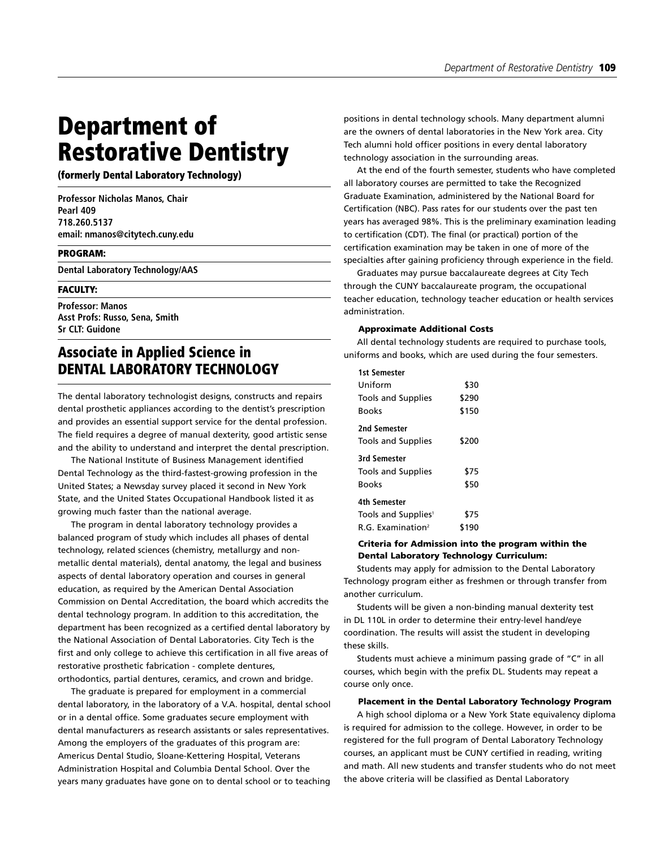# **Department of Restorative Dentistry**

**(formerly Dental Laboratory Technology)**

**Professor Nicholas Manos, Chair Pearl 409 718.260.5137 email: nmanos@citytech.cuny.edu**

#### **PROGRAM:**

**Dental Laboratory Technology/AAS**

# **FACULTY:**

**Professor: Manos Asst Profs: Russo, Sena, Smith Sr CLT: Guidone**

# **Associate in Applied Science in DENTAL LABORATORY TECHNOLOGY**

The dental laboratory technologist designs, constructs and repairs dental prosthetic appliances according to the dentist's prescription and provides an essential support service for the dental profession. The field requires a degree of manual dexterity, good artistic sense and the ability to understand and interpret the dental prescription.

The National Institute of Business Management identified Dental Technology as the third-fastest-growing profession in the United States; a Newsday survey placed it second in New York State, and the United States Occupational Handbook listed it as growing much faster than the national average.

The program in dental laboratory technology provides a balanced program of study which includes all phases of dental technology, related sciences (chemistry, metallurgy and nonmetallic dental materials), dental anatomy, the legal and business aspects of dental laboratory operation and courses in general education, as required by the American Dental Association Commission on Dental Accreditation, the board which accredits the dental technology program. In addition to this accreditation, the department has been recognized as a certified dental laboratory by the National Association of Dental Laboratories. City Tech is the first and only college to achieve this certification in all five areas of restorative prosthetic fabrication - complete dentures, orthodontics, partial dentures, ceramics, and crown and bridge.

The graduate is prepared for employment in a commercial dental laboratory, in the laboratory of a V.A. hospital, dental school or in a dental office. Some graduates secure employment with dental manufacturers as research assistants or sales representatives. Among the employers of the graduates of this program are: Americus Dental Studio, Sloane-Kettering Hospital, Veterans Administration Hospital and Columbia Dental School. Over the years many graduates have gone on to dental school or to teaching

positions in dental technology schools. Many department alumni are the owners of dental laboratories in the New York area. City Tech alumni hold officer positions in every dental laboratory technology association in the surrounding areas.

At the end of the fourth semester, students who have completed all laboratory courses are permitted to take the Recognized Graduate Examination, administered by the National Board for Certification (NBC). Pass rates for our students over the past ten years has averaged 98%. This is the preliminary examination leading to certification (CDT). The final (or practical) portion of the certification examination may be taken in one of more of the specialties after gaining proficiency through experience in the field.

Graduates may pursue baccalaureate degrees at City Tech through the CUNY baccalaureate program, the occupational teacher education, technology teacher education or health services administration.

# **Approximate Additional Costs**

All dental technology students are required to purchase tools, uniforms and books, which are used during the four semesters.

| <b>1st Semester</b>                |       |
|------------------------------------|-------|
| Uniform                            | \$30  |
| <b>Tools and Supplies</b>          | \$290 |
| <b>Books</b>                       | \$150 |
| 2nd Semester<br>Tools and Supplies | \$200 |
| <b>3rd Semester</b>                |       |
| <b>Tools and Supplies</b>          | \$75  |
| <b>Books</b>                       | \$50  |
| 4th Semester                       |       |
| Tools and Supplies <sup>1</sup>    | \$75  |
| R.G. Examination <sup>2</sup>      | \$190 |

# **Criteria for Admission into the program within the Dental Laboratory Technology Curriculum:**

Students may apply for admission to the Dental Laboratory Technology program either as freshmen or through transfer from another curriculum.

Students will be given a non-binding manual dexterity test in DL 110L in order to determine their entry-level hand/eye coordination. The results will assist the student in developing these skills.

Students must achieve a minimum passing grade of "C" in all courses, which begin with the prefix DL. Students may repeat a course only once.

## **Placement in the Dental Laboratory Technology Program**

A high school diploma or a New York State equivalency diploma is required for admission to the college. However, in order to be registered for the full program of Dental Laboratory Technology courses, an applicant must be CUNY certified in reading, writing and math. All new students and transfer students who do not meet the above criteria will be classified as Dental Laboratory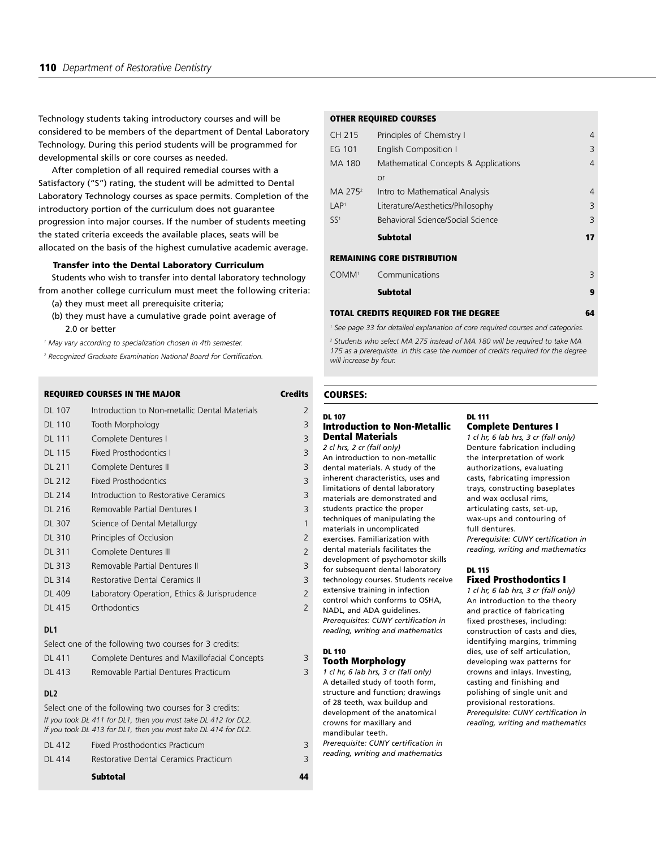Technology students taking introductory courses and will be considered to be members of the department of Dental Laboratory Technology. During this period students will be programmed for developmental skills or core courses as needed.

After completion of all required remedial courses with a Satisfactory ("S") rating, the student will be admitted to Dental Laboratory Technology courses as space permits. Completion of the introductory portion of the curriculum does not guarantee progression into major courses. If the number of students meeting the stated criteria exceeds the available places, seats will be allocated on the basis of the highest cumulative academic average.

## **Transfer into the Dental Laboratory Curriculum**

Students who wish to transfer into dental laboratory technology from another college curriculum must meet the following criteria:

- (a) they must meet all prerequisite criteria;
- (b) they must have a cumulative grade point average of 2.0 or better

*<sup>1</sup> May vary according to specialization chosen in 4th semester.*

*<sup>2</sup> Recognized Graduate Examination National Board for Certification.*

| <b>REQUIRED COURSES IN THE MAJOR</b> |                                               | <b>Credits</b> |  |
|--------------------------------------|-----------------------------------------------|----------------|--|
| DL 107                               | Introduction to Non-metallic Dental Materials | 2              |  |
| <b>DL 110</b>                        | Tooth Morphology                              | 3              |  |
| <b>DL 111</b>                        | Complete Dentures I                           | 3              |  |
| <b>DL 115</b>                        | <b>Fixed Prosthodontics I</b>                 | 3              |  |
| <b>DL 211</b>                        | Complete Dentures II                          | 3              |  |
| <b>DL 212</b>                        | <b>Fixed Prosthodontics</b>                   | 3              |  |
| <b>DL 214</b>                        | Introduction to Restorative Ceramics          | 3              |  |
| DL 216                               | Removable Partial Dentures I                  | 3              |  |
| <b>DL 307</b>                        | Science of Dental Metallurgy                  | 1              |  |
| <b>DL 310</b>                        | Principles of Occlusion                       | $\overline{2}$ |  |
| <b>DL 311</b>                        | Complete Dentures III                         | $\overline{2}$ |  |
| <b>DL 313</b>                        | Removable Partial Dentures II                 | 3              |  |
| DL 314                               | Restorative Dental Ceramics II                | 3              |  |
| <b>DL 409</b>                        | Laboratory Operation, Ethics & Jurisprudence  | 2              |  |
| DL 415                               | Orthodontics                                  | $\overline{2}$ |  |

#### **DL1**

Select one of the following two courses for 3 credits:

| DL 411 | Complete Dentures and Maxillofacial Concepts |  |
|--------|----------------------------------------------|--|
| DL 413 | Removable Partial Dentures Practicum         |  |

# **DL2**

Select one of the following two courses for 3 credits: *If you took DL 411 for DL1, then you must take DL 412 for DL2. If you took DL 413 for DL1, then you must take DL 414 for DL2.* 

|        | <b>Subtotal</b>                       | 44 |
|--------|---------------------------------------|----|
| DL 414 | Restorative Dental Ceramics Practicum |    |
| DI 412 | Fixed Prosthodontics Practicum        |    |

#### **OTHER REQUIRED COURSES**

| CH 215                             | Principles of Chemistry I            | 4              |  |
|------------------------------------|--------------------------------------|----------------|--|
| EG 101                             | English Composition I                | 3              |  |
| MA 180                             | Mathematical Concepts & Applications | $\overline{4}$ |  |
|                                    | or                                   |                |  |
| MA 275 <sup>2</sup>                | Intro to Mathematical Analysis       | $\overline{4}$ |  |
| LAP <sup>1</sup>                   | Literature/Aesthetics/Philosophy     | 3              |  |
| SS <sup>1</sup>                    | Behavioral Science/Social Science    | 3              |  |
|                                    | <b>Subtotal</b>                      | 17             |  |
| <b>REMAINING CORE DISTRIBUTION</b> |                                      |                |  |
| COMM <sup>1</sup>                  | Communications                       | 3              |  |
|                                    | Subtotal                             | 9              |  |
|                                    |                                      |                |  |

# **TOTAL CREDITS REQUIRED FOR THE DEGREE 64**

*<sup>1</sup> See page 33 for detailed explanation of core required courses and categories.*

*<sup>2</sup> Students who select MA 275 instead of MA 180 will be required to take MA 175 as a prerequisite. In this case the number of credits required for the degree will increase by four.*

**DL 111** 

# **COURSES:**

#### **DL 107 Introduction to Non-Metallic Dental Materials**

#### *2 cl hrs, 2 cr (fall only)*

An introduction to non-metallic dental materials. A study of the inherent characteristics, uses and limitations of dental laboratory materials are demonstrated and students practice the proper techniques of manipulating the materials in uncomplicated exercises. Familiarization with dental materials facilitates the development of psychomotor skills for subsequent dental laboratory technology courses. Students receive extensive training in infection

control which conforms to OSHA, NADL, and ADA guidelines. *Prerequisites: CUNY certification in reading, writing and mathematics*

#### **DL 110 Tooth Morphology**

- *1 cl hr, 6 lab hrs, 3 cr (fall only)*  A detailed study of tooth form, structure and function; drawings of 28 teeth, wax buildup and development of the anatomical crowns for maxillary and mandibular teeth.
- *Prerequisite: CUNY certification in*
- *reading, writing and mathematics*

#### **Complete Dentures I**

*1 cl hr, 6 lab hrs, 3 cr (fall only)*  Denture fabrication including the interpretation of work authorizations, evaluating casts, fabricating impression trays, constructing baseplates and wax occlusal rims, articulating casts, set-up, wax-ups and contouring of full dentures. *Prerequisite: CUNY certification in reading, writing and mathematics*

#### **DL 115 Fixed Prosthodontics I**

*1 cl hr, 6 lab hrs, 3 cr (fall only)*  An introduction to the theory and practice of fabricating fixed prostheses, including: construction of casts and dies, identifying margins, trimming dies, use of self articulation, developing wax patterns for crowns and inlays. Investing, casting and finishing and polishing of single unit and provisional restorations. *Prerequisite: CUNY certification in reading, writing and mathematics*